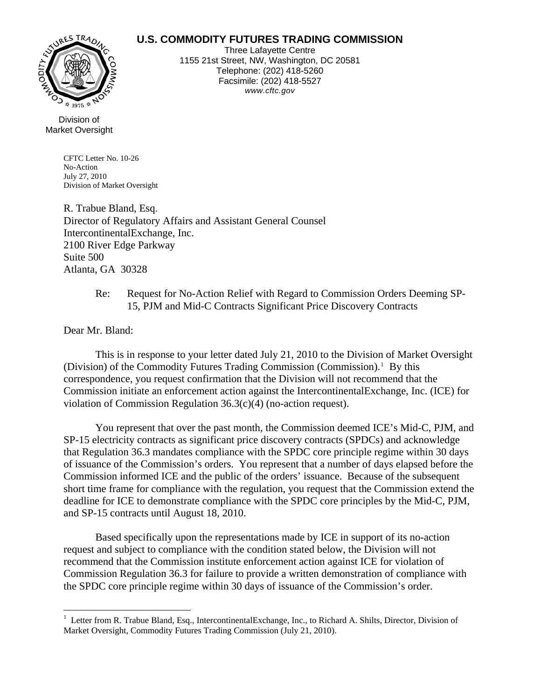## **U.S. COMMODITY FUTURES TRADING COMMISSION**



Three Lafayette Centre 1155 21st Street, NW, Washington, DC 20581 Telephone: (202) 418-5260 Facsimile: (202) 418-5527 *www.cftc.gov*

## Division of Market Oversight

CFTC Letter No. 10-26 No-Action July 27, 2010 Division of Market Oversight

R. Trabue Bland, Esq. Director of Regulatory Affairs and Assistant General Counsel IntercontinentalExchange, Inc. 2100 River Edge Parkway Suite 500 Atlanta, GA 30328

## Re: Request for No-Action Relief with Regard to Commission Orders Deeming SP-15, PJM and Mid-C Contracts Significant Price Discovery Contracts

Dear Mr. Bland:

 $\overline{a}$ 

 This is in response to your letter dated July 21, 2010 to the Division of Market Oversight (Division) of the Commodity Futures Trading Commission (Commission).<sup>[1](#page-0-0)</sup> By this correspondence, you request confirmation that the Division will not recommend that the Commission initiate an enforcement action against the IntercontinentalExchange, Inc. (ICE) for violation of Commission Regulation 36.3(c)(4) (no-action request).

 You represent that over the past month, the Commission deemed ICE's Mid-C, PJM, and SP-15 electricity contracts as significant price discovery contracts (SPDCs) and acknowledge that Regulation 36.3 mandates compliance with the SPDC core principle regime within 30 days of issuance of the Commission's orders. You represent that a number of days elapsed before the Commission informed ICE and the public of the orders' issuance. Because of the subsequent short time frame for compliance with the regulation, you request that the Commission extend the deadline for ICE to demonstrate compliance with the SPDC core principles by the Mid-C, PJM, and SP-15 contracts until August 18, 2010.

 Based specifically upon the representations made by ICE in support of its no-action request and subject to compliance with the condition stated below, the Division will not recommend that the Commission institute enforcement action against ICE for violation of Commission Regulation 36.3 for failure to provide a written demonstration of compliance with the SPDC core principle regime within 30 days of issuance of the Commission's order.

<span id="page-0-0"></span><sup>&</sup>lt;sup>1</sup> Letter from R. Trabue Bland, Esq., IntercontinentalExchange, Inc., to Richard A. Shilts, Director, Division of Market Oversight, Commodity Futures Trading Commission (July 21, 2010).